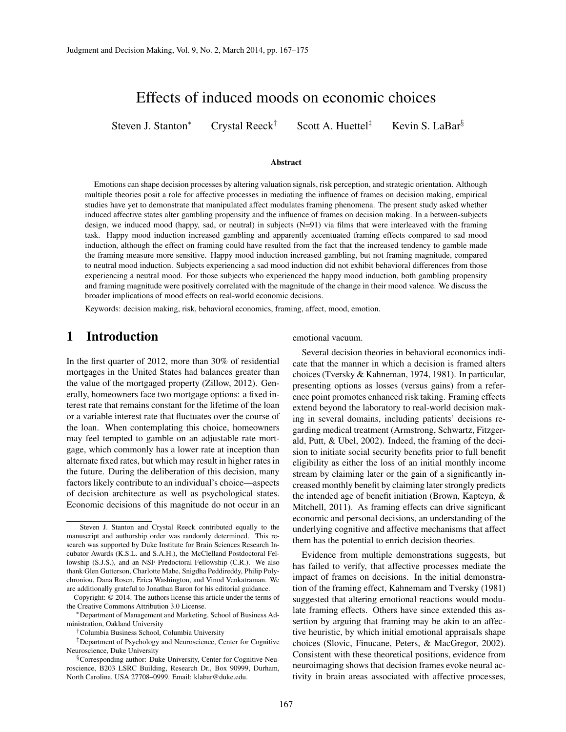# Effects of induced moods on economic choices

Steven J. Stanton<sup>∗</sup> Crystal Reeck<sup>†</sup> Scott A. Huettel<sup>‡</sup> Kevin S. LaBar<sup>§</sup>

#### Abstract

Emotions can shape decision processes by altering valuation signals, risk perception, and strategic orientation. Although multiple theories posit a role for affective processes in mediating the influence of frames on decision making, empirical studies have yet to demonstrate that manipulated affect modulates framing phenomena. The present study asked whether induced affective states alter gambling propensity and the influence of frames on decision making. In a between-subjects design, we induced mood (happy, sad, or neutral) in subjects (N=91) via films that were interleaved with the framing task. Happy mood induction increased gambling and apparently accentuated framing effects compared to sad mood induction, although the effect on framing could have resulted from the fact that the increased tendency to gamble made the framing measure more sensitive. Happy mood induction increased gambling, but not framing magnitude, compared to neutral mood induction. Subjects experiencing a sad mood induction did not exhibit behavioral differences from those experiencing a neutral mood. For those subjects who experienced the happy mood induction, both gambling propensity and framing magnitude were positively correlated with the magnitude of the change in their mood valence. We discuss the broader implications of mood effects on real-world economic decisions.

Keywords: decision making, risk, behavioral economics, framing, affect, mood, emotion.

## 1 Introduction

In the first quarter of 2012, more than 30% of residential mortgages in the United States had balances greater than the value of the mortgaged property (Zillow, 2012). Generally, homeowners face two mortgage options: a fixed interest rate that remains constant for the lifetime of the loan or a variable interest rate that fluctuates over the course of the loan. When contemplating this choice, homeowners may feel tempted to gamble on an adjustable rate mortgage, which commonly has a lower rate at inception than alternate fixed rates, but which may result in higher rates in the future. During the deliberation of this decision, many factors likely contribute to an individual's choice—aspects of decision architecture as well as psychological states. Economic decisions of this magnitude do not occur in an emotional vacuum.

Several decision theories in behavioral economics indicate that the manner in which a decision is framed alters choices (Tversky & Kahneman, 1974, 1981). In particular, presenting options as losses (versus gains) from a reference point promotes enhanced risk taking. Framing effects extend beyond the laboratory to real-world decision making in several domains, including patients' decisions regarding medical treatment (Armstrong, Schwartz, Fitzgerald, Putt, & Ubel, 2002). Indeed, the framing of the decision to initiate social security benefits prior to full benefit eligibility as either the loss of an initial monthly income stream by claiming later or the gain of a significantly increased monthly benefit by claiming later strongly predicts the intended age of benefit initiation (Brown, Kapteyn, & Mitchell, 2011). As framing effects can drive significant economic and personal decisions, an understanding of the underlying cognitive and affective mechanisms that affect them has the potential to enrich decision theories.

Evidence from multiple demonstrations suggests, but has failed to verify, that affective processes mediate the impact of frames on decisions. In the initial demonstration of the framing effect, Kahnemam and Tversky (1981) suggested that altering emotional reactions would modulate framing effects. Others have since extended this assertion by arguing that framing may be akin to an affective heuristic, by which initial emotional appraisals shape choices (Slovic, Finucane, Peters, & MacGregor, 2002). Consistent with these theoretical positions, evidence from neuroimaging shows that decision frames evoke neural activity in brain areas associated with affective processes,

Steven J. Stanton and Crystal Reeck contributed equally to the manuscript and authorship order was randomly determined. This research was supported by Duke Institute for Brain Sciences Research Incubator Awards (K.S.L. and S.A.H.), the McClelland Postdoctoral Fellowship (S.J.S.), and an NSF Predoctoral Fellowship (C.R.). We also thank Glen Gutterson, Charlotte Mabe, Snigdha Peddireddy, Philip Polychroniou, Dana Rosen, Erica Washington, and Vinod Venkatraman. We are additionally grateful to Jonathan Baron for his editorial guidance.

Copyright: © 2014. The authors license this article under the terms of the [Creative Commons Attribution 3.0 License.](http://creativecommons.org/licenses/by/3.0/)

<sup>∗</sup>Department of Management and Marketing, School of Business Administration, Oakland University

<sup>†</sup>Columbia Business School, Columbia University

<sup>‡</sup>Department of Psychology and Neuroscience, Center for Cognitive Neuroscience, Duke University

<sup>§</sup>Corresponding author: Duke University, Center for Cognitive Neuroscience, B203 LSRC Building, Research Dr., Box 90999, Durham, North Carolina, USA 27708–0999. Email: klabar@duke.edu.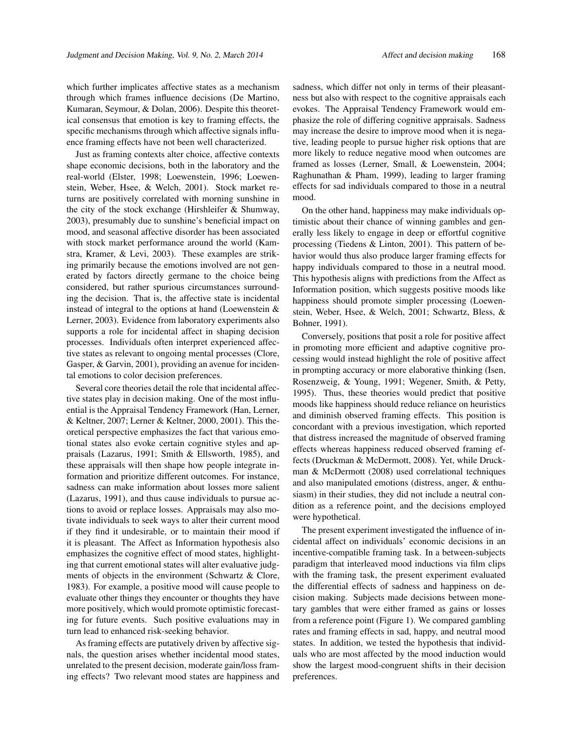which further implicates affective states as a mechanism through which frames influence decisions (De Martino, Kumaran, Seymour, & Dolan, 2006). Despite this theoretical consensus that emotion is key to framing effects, the specific mechanisms through which affective signals influence framing effects have not been well characterized.

Just as framing contexts alter choice, affective contexts shape economic decisions, both in the laboratory and the real-world (Elster, 1998; Loewenstein, 1996; Loewenstein, Weber, Hsee, & Welch, 2001). Stock market returns are positively correlated with morning sunshine in the city of the stock exchange (Hirshleifer & Shumway, 2003), presumably due to sunshine's beneficial impact on mood, and seasonal affective disorder has been associated with stock market performance around the world (Kamstra, Kramer, & Levi, 2003). These examples are striking primarily because the emotions involved are not generated by factors directly germane to the choice being considered, but rather spurious circumstances surrounding the decision. That is, the affective state is incidental instead of integral to the options at hand (Loewenstein & Lerner, 2003). Evidence from laboratory experiments also supports a role for incidental affect in shaping decision processes. Individuals often interpret experienced affective states as relevant to ongoing mental processes (Clore, Gasper, & Garvin, 2001), providing an avenue for incidental emotions to color decision preferences.

Several core theories detail the role that incidental affective states play in decision making. One of the most influential is the Appraisal Tendency Framework (Han, Lerner, & Keltner, 2007; Lerner & Keltner, 2000, 2001). This theoretical perspective emphasizes the fact that various emotional states also evoke certain cognitive styles and appraisals (Lazarus, 1991; Smith & Ellsworth, 1985), and these appraisals will then shape how people integrate information and prioritize different outcomes. For instance, sadness can make information about losses more salient (Lazarus, 1991), and thus cause individuals to pursue actions to avoid or replace losses. Appraisals may also motivate individuals to seek ways to alter their current mood if they find it undesirable, or to maintain their mood if it is pleasant. The Affect as Information hypothesis also emphasizes the cognitive effect of mood states, highlighting that current emotional states will alter evaluative judgments of objects in the environment (Schwartz & Clore, 1983). For example, a positive mood will cause people to evaluate other things they encounter or thoughts they have more positively, which would promote optimistic forecasting for future events. Such positive evaluations may in turn lead to enhanced risk-seeking behavior.

As framing effects are putatively driven by affective signals, the question arises whether incidental mood states, unrelated to the present decision, moderate gain/loss framing effects? Two relevant mood states are happiness and sadness, which differ not only in terms of their pleasantness but also with respect to the cognitive appraisals each evokes. The Appraisal Tendency Framework would emphasize the role of differing cognitive appraisals. Sadness may increase the desire to improve mood when it is negative, leading people to pursue higher risk options that are more likely to reduce negative mood when outcomes are framed as losses (Lerner, Small, & Loewenstein, 2004; Raghunathan & Pham, 1999), leading to larger framing effects for sad individuals compared to those in a neutral mood.

On the other hand, happiness may make individuals optimistic about their chance of winning gambles and generally less likely to engage in deep or effortful cognitive processing (Tiedens & Linton, 2001). This pattern of behavior would thus also produce larger framing effects for happy individuals compared to those in a neutral mood. This hypothesis aligns with predictions from the Affect as Information position, which suggests positive moods like happiness should promote simpler processing (Loewenstein, Weber, Hsee, & Welch, 2001; Schwartz, Bless, & Bohner, 1991).

Conversely, positions that posit a role for positive affect in promoting more efficient and adaptive cognitive processing would instead highlight the role of positive affect in prompting accuracy or more elaborative thinking (Isen, Rosenzweig, & Young, 1991; Wegener, Smith, & Petty, 1995). Thus, these theories would predict that positive moods like happiness should reduce reliance on heuristics and diminish observed framing effects. This position is concordant with a previous investigation, which reported that distress increased the magnitude of observed framing effects whereas happiness reduced observed framing effects (Druckman & McDermott, 2008). Yet, while Druckman & McDermott (2008) used correlational techniques and also manipulated emotions (distress, anger, & enthusiasm) in their studies, they did not include a neutral condition as a reference point, and the decisions employed were hypothetical.

The present experiment investigated the influence of incidental affect on individuals' economic decisions in an incentive-compatible framing task. In a between-subjects paradigm that interleaved mood inductions via film clips with the framing task, the present experiment evaluated the differential effects of sadness and happiness on decision making. Subjects made decisions between monetary gambles that were either framed as gains or losses from a reference point (Figure 1). We compared gambling rates and framing effects in sad, happy, and neutral mood states. In addition, we tested the hypothesis that individuals who are most affected by the mood induction would show the largest mood-congruent shifts in their decision preferences.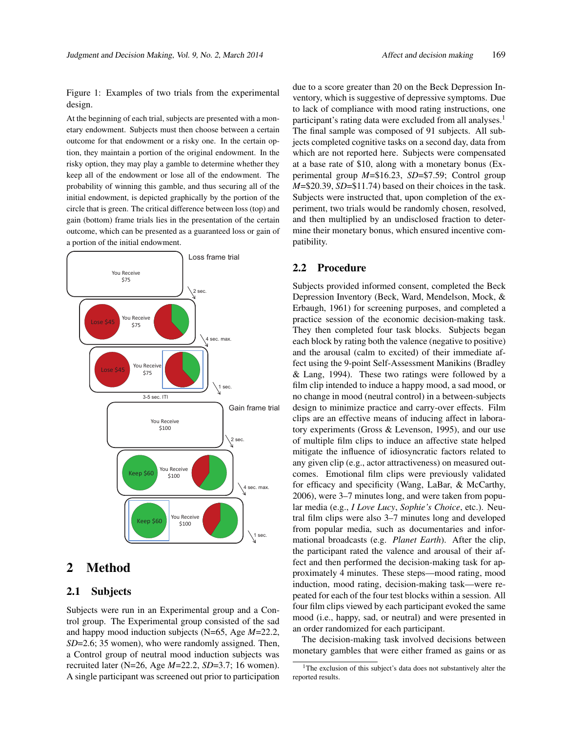Figure 1: Examples of two trials from the experimental design.

At the beginning of each trial, subjects are presented with a monetary endowment. Subjects must then choose between a certain outcome for that endowment or a risky one. In the certain option, they maintain a portion of the original endowment. In the risky option, they may play a gamble to determine whether they keep all of the endowment or lose all of the endowment. The probability of winning this gamble, and thus securing all of the initial endowment, is depicted graphically by the portion of the circle that is green. The critical difference between loss (top) and gain (bottom) frame trials lies in the presentation of the certain outcome, which can be presented as a guaranteed loss or gain of a portion of the initial endowment.



# 2 Method

#### 2.1 Subjects

Subjects were run in an Experimental group and a Control group. The Experimental group consisted of the sad and happy mood induction subjects (N=65, Age *M*=22.2, *SD*=2.6; 35 women), who were randomly assigned. Then, a Control group of neutral mood induction subjects was recruited later (N=26, Age *M*=22.2, *SD*=3.7; 16 women). A single participant was screened out prior to participation

due to a score greater than 20 on the Beck Depression Inventory, which is suggestive of depressive symptoms. Due to lack of compliance with mood rating instructions, one participant's rating data were excluded from all analyses.<sup>1</sup> The final sample was composed of 91 subjects. All subjects completed cognitive tasks on a second day, data from which are not reported here. Subjects were compensated at a base rate of \$10, along with a monetary bonus (Experimental group *M*=\$16.23, *SD*=\$7.59; Control group *M*=\$20.39, *SD*=\$11.74) based on their choices in the task. Subjects were instructed that, upon completion of the experiment, two trials would be randomly chosen, resolved, and then multiplied by an undisclosed fraction to determine their monetary bonus, which ensured incentive compatibility.

#### 2.2 Procedure

Subjects provided informed consent, completed the Beck Depression Inventory (Beck, Ward, Mendelson, Mock, & Erbaugh, 1961) for screening purposes, and completed a practice session of the economic decision-making task. They then completed four task blocks. Subjects began each block by rating both the valence (negative to positive) and the arousal (calm to excited) of their immediate affect using the 9-point Self-Assessment Manikins (Bradley & Lang, 1994). These two ratings were followed by a film clip intended to induce a happy mood, a sad mood, or no change in mood (neutral control) in a between-subjects design to minimize practice and carry-over effects. Film clips are an effective means of inducing affect in laboratory experiments (Gross & Levenson, 1995), and our use of multiple film clips to induce an affective state helped mitigate the influence of idiosyncratic factors related to any given clip (e.g., actor attractiveness) on measured outcomes. Emotional film clips were previously validated for efficacy and specificity (Wang, LaBar, & McCarthy, 2006), were 3–7 minutes long, and were taken from popular media (e.g., *I Love Lucy*, *Sophie's Choice*, etc.). Neutral film clips were also 3–7 minutes long and developed from popular media, such as documentaries and informational broadcasts (e.g. *Planet Earth*). After the clip, the participant rated the valence and arousal of their affect and then performed the decision-making task for approximately 4 minutes. These steps—mood rating, mood induction, mood rating, decision-making task—were repeated for each of the four test blocks within a session. All four film clips viewed by each participant evoked the same mood (i.e., happy, sad, or neutral) and were presented in an order randomized for each participant.

The decision-making task involved decisions between monetary gambles that were either framed as gains or as

<sup>&</sup>lt;sup>1</sup>The exclusion of this subject's data does not substantively alter the reported results.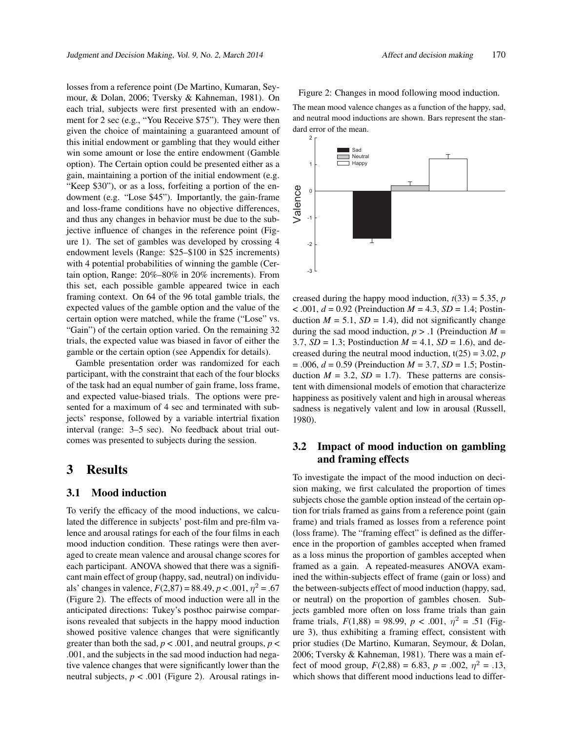losses from a reference point (De Martino, Kumaran, Seymour, & Dolan, 2006; Tversky & Kahneman, 1981). On each trial, subjects were first presented with an endowment for 2 sec (e.g., "You Receive \$75"). They were then given the choice of maintaining a guaranteed amount of this initial endowment or gambling that they would either win some amount or lose the entire endowment (Gamble option). The Certain option could be presented either as a gain, maintaining a portion of the initial endowment (e.g. "Keep \$30"), or as a loss, forfeiting a portion of the endowment (e.g. "Lose \$45"). Importantly, the gain-frame and loss-frame conditions have no objective differences, and thus any changes in behavior must be due to the subjective influence of changes in the reference point (Figure 1). The set of gambles was developed by crossing 4 endowment levels (Range: \$25–\$100 in \$25 increments) with 4 potential probabilities of winning the gamble (Certain option, Range: 20%–80% in 20% increments). From this set, each possible gamble appeared twice in each framing context. On 64 of the 96 total gamble trials, the expected values of the gamble option and the value of the certain option were matched, while the frame ("Lose" vs. "Gain") of the certain option varied. On the remaining 32 trials, the expected value was biased in favor of either the gamble or the certain option (see Appendix for details).

Gamble presentation order was randomized for each participant, with the constraint that each of the four blocks of the task had an equal number of gain frame, loss frame, and expected value-biased trials. The options were presented for a maximum of 4 sec and terminated with subjects' response, followed by a variable intertrial fixation interval (range: 3–5 sec). No feedback about trial outcomes was presented to subjects during the session.

### 3 Results

#### 3.1 Mood induction

To verify the efficacy of the mood inductions, we calculated the difference in subjects' post-film and pre-film valence and arousal ratings for each of the four films in each mood induction condition. These ratings were then averaged to create mean valence and arousal change scores for each participant. ANOVA showed that there was a significant main effect of group (happy, sad, neutral) on individuals' changes in valence,  $F(2,87) = 88.49, p < .001, \eta^2 = .67$ (Figure 2). The effects of mood induction were all in the anticipated directions: Tukey's posthoc pairwise comparisons revealed that subjects in the happy mood induction showed positive valence changes that were significantly greater than both the sad,  $p < .001$ , and neutral groups,  $p <$ .001, and the subjects in the sad mood induction had negative valence changes that were significantly lower than the neutral subjects,  $p < .001$  (Figure 2). Arousal ratings in-



The mean mood valence changes as a function of the happy, sad, and neutral mood inductions are shown. Bars represent the standard error of the mean.



creased during the happy mood induction,  $t(33) = 5.35$ , *p*  $\leq$  .001,  $d = 0.92$  (Preinduction  $M = 4.3$ ,  $SD = 1.4$ ; Postinduction  $M = 5.1$ ,  $SD = 1.4$ ), did not significantly change during the sad mood induction,  $p > 0.1$  (Preinduction  $M =$ 3.7,  $SD = 1.3$ ; Postinduction  $M = 4.1$ ,  $SD = 1.6$ ), and decreased during the neutral mood induction,  $t(25) = 3.02$ , *p*  $= .006, d = 0.59$  (Preinduction  $M = 3.7$ ,  $SD = 1.5$ ; Postinduction  $M = 3.2$ ,  $SD = 1.7$ ). These patterns are consistent with dimensional models of emotion that characterize happiness as positively valent and high in arousal whereas sadness is negatively valent and low in arousal (Russell, 1980).

### 3.2 Impact of mood induction on gambling and framing effects

To investigate the impact of the mood induction on decision making, we first calculated the proportion of times subjects chose the gamble option instead of the certain option for trials framed as gains from a reference point (gain frame) and trials framed as losses from a reference point (loss frame). The "framing effect" is defined as the difference in the proportion of gambles accepted when framed as a loss minus the proportion of gambles accepted when framed as a gain. A repeated-measures ANOVA examined the within-subjects effect of frame (gain or loss) and the between-subjects effect of mood induction (happy, sad, or neutral) on the proportion of gambles chosen. Subjects gambled more often on loss frame trials than gain frame trials,  $F(1,88) = 98.99$ ,  $p < .001$ ,  $\eta^2 = .51$  (Figure 3), thus exhibiting a framing effect, consistent with prior studies (De Martino, Kumaran, Seymour, & Dolan, 2006; Tversky & Kahneman, 1981). There was a main effect of mood group,  $F(2,88) = 6.83$ ,  $p = .002$ ,  $\eta^2 = .13$ , which shows that different mood inductions lead to differ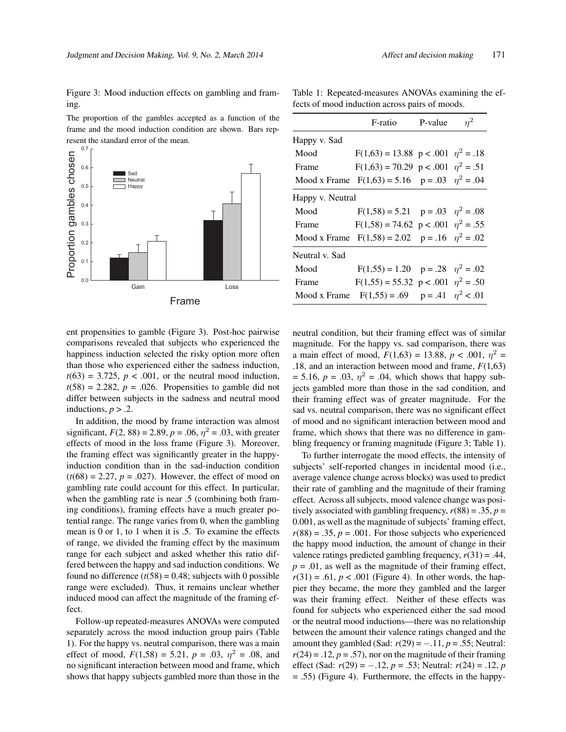Figure 3: Mood induction effects on gambling and framing.

The proportion of the gambles accepted as a function of the frame and the mood induction condition are shown. Bars represent the standard error of the mean.



Table 1: Repeated-measures ANOVAs examining the effects of mood induction across pairs of moods.

|                  | F-ratio                                                | P-value | $n^2$ |
|------------------|--------------------------------------------------------|---------|-------|
| Happy v. Sad     |                                                        |         |       |
| Mood             | $F(1,63) = 13.88 \text{ p} < .001 \text{ n}^2 = .18$   |         |       |
| Frame            | $F(1,63) = 70.29 \text{ p} < .001 \text{ n}^2 = .51$   |         |       |
|                  | Mood x Frame $F(1,63) = 5.16$ $p = .03$ $\eta^2 = .04$ |         |       |
| Happy v. Neutral |                                                        |         |       |
| Mood             | $F(1,58) = 5.21$ $p = .03$ $n^2 = .08$                 |         |       |
| Frame            | $F(1,58) = 74.62 \text{ p} < .001 \eta^2 = .55$        |         |       |
|                  | Mood x Frame $F(1,58) = 2.02$ $p = .16$ $\eta^2 = .02$ |         |       |
| Neutral v. Sad   |                                                        |         |       |
| Mood             | $F(1,55) = 1.20$ $p = .28$ $\eta^2 = .02$              |         |       |
| Frame            | $F(1,55) = 55.32 \text{ p} < .001 \text{ n}^2 = .50$   |         |       |
| Mood x Frame     | $F(1,55) = .69$ $p = .41$ $n^2 < .01$                  |         |       |

ent propensities to gamble (Figure 3). Post-hoc pairwise comparisons revealed that subjects who experienced the happiness induction selected the risky option more often than those who experienced either the sadness induction,  $t(63) = 3.725$ ,  $p < .001$ , or the neutral mood induction,  $t(58) = 2.282$ ,  $p = .026$ . Propensities to gamble did not differ between subjects in the sadness and neutral mood inductions,  $p > 0.2$ .

In addition, the mood by frame interaction was almost significant,  $F(2, 88) = 2.89$ ,  $p = .06$ ,  $\eta^2 = .03$ , with greater effects of mood in the loss frame (Figure 3). Moreover, the framing effect was significantly greater in the happyinduction condition than in the sad-induction condition  $(t(68) = 2.27, p = .027)$ . However, the effect of mood on gambling rate could account for this effect. In particular, when the gambling rate is near .5 (combining both framing conditions), framing effects have a much greater potential range. The range varies from 0, when the gambling mean is 0 or 1, to 1 when it is .5. To examine the effects of range, we divided the framing effect by the maximum range for each subject and asked whether this ratio differed between the happy and sad induction conditions. We found no difference  $(t(58) = 0.48$ ; subjects with 0 possible range were excluded). Thus, it remains unclear whether induced mood can affect the magnitude of the framing effect.

Follow-up repeated-measures ANOVAs were computed separately across the mood induction group pairs (Table 1). For the happy vs. neutral comparison, there was a main effect of mood,  $F(1,58) = 5.21$ ,  $p = .03$ ,  $\eta^2 = .08$ , and no significant interaction between mood and frame, which shows that happy subjects gambled more than those in the neutral condition, but their framing effect was of similar magnitude. For the happy vs. sad comparison, there was a main effect of mood,  $F(1,63) = 13.88$ ,  $p < .001$ ,  $\eta^2 =$ .18, and an interaction between mood and frame, *F*(1,63)  $= 5.16, p = .03, \eta^2 = .04$ , which shows that happy subjects gambled more than those in the sad condition, and their framing effect was of greater magnitude. For the sad vs. neutral comparison, there was no significant effect of mood and no significant interaction between mood and frame, which shows that there was no difference in gambling frequency or framing magnitude (Figure 3; Table 1).

To further interrogate the mood effects, the intensity of subjects' self-reported changes in incidental mood (i.e., average valence change across blocks) was used to predict their rate of gambling and the magnitude of their framing effect. Across all subjects, mood valence change was positively associated with gambling frequency,  $r(88) = .35$ ,  $p =$ 0.001, as well as the magnitude of subjects' framing effect,  $r(88) = .35$ ,  $p = .001$ . For those subjects who experienced the happy mood induction, the amount of change in their valence ratings predicted gambling frequency,  $r(31) = .44$ ,  $p = .01$ , as well as the magnitude of their framing effect,  $r(31) = .61$ ,  $p < .001$  (Figure 4). In other words, the happier they became, the more they gambled and the larger was their framing effect. Neither of these effects was found for subjects who experienced either the sad mood or the neutral mood inductions—there was no relationship between the amount their valence ratings changed and the amount they gambled (Sad:  $r(29) = -0.11$ ,  $p = 0.55$ ; Neutral:  $r(24) = .12, p = .57$ , nor on the magnitude of their framing effect (Sad:  $r(29) = -.12$ ,  $p = .53$ ; Neutral:  $r(24) = .12$ ,  $p$ = .55) (Figure 4). Furthermore, the effects in the happy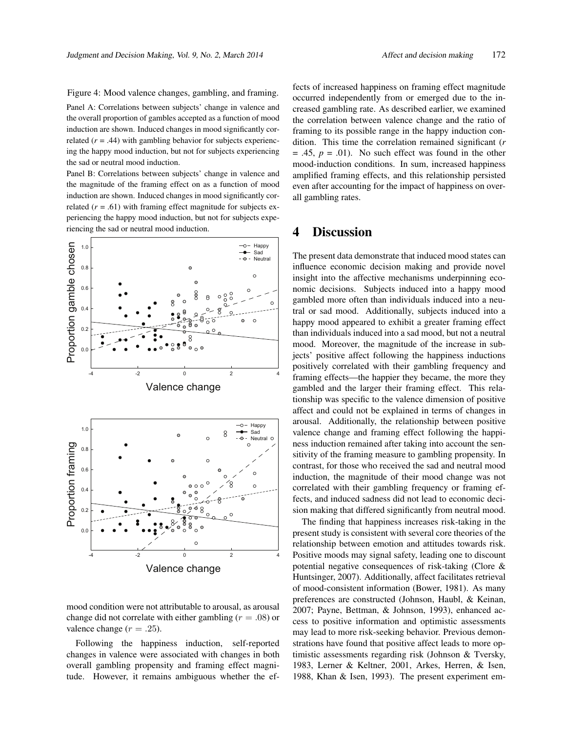Figure 4: Mood valence changes, gambling, and framing.

Panel A: Correlations between subjects' change in valence and the overall proportion of gambles accepted as a function of mood induction are shown. Induced changes in mood significantly correlated  $(r = .44)$  with gambling behavior for subjects experiencing the happy mood induction, but not for subjects experiencing the sad or neutral mood induction.

Panel B: Correlations between subjects' change in valence and the magnitude of the framing effect on as a function of mood induction are shown. Induced changes in mood significantly correlated  $(r = .61)$  with framing effect magnitude for subjects experiencing the happy mood induction, but not for subjects experiencing the sad or neutral mood induction.



mood condition were not attributable to arousal, as arousal change did not correlate with either gambling  $(r = .08)$  or valence change  $(r=.25)$ .

Following the happiness induction, self-reported changes in valence were associated with changes in both overall gambling propensity and framing effect magnitude. However, it remains ambiguous whether the effects of increased happiness on framing effect magnitude occurred independently from or emerged due to the increased gambling rate. As described earlier, we examined the correlation between valence change and the ratio of framing to its possible range in the happy induction condition. This time the correlation remained significant (*r*  $= .45, p = .01$ ). No such effect was found in the other mood-induction conditions. In sum, increased happiness amplified framing effects, and this relationship persisted even after accounting for the impact of happiness on overall gambling rates.

### 4 Discussion

The present data demonstrate that induced mood states can influence economic decision making and provide novel insight into the affective mechanisms underpinning economic decisions. Subjects induced into a happy mood gambled more often than individuals induced into a neutral or sad mood. Additionally, subjects induced into a happy mood appeared to exhibit a greater framing effect than individuals induced into a sad mood, but not a neutral mood. Moreover, the magnitude of the increase in subjects' positive affect following the happiness inductions positively correlated with their gambling frequency and framing effects—the happier they became, the more they gambled and the larger their framing effect. This relationship was specific to the valence dimension of positive affect and could not be explained in terms of changes in arousal. Additionally, the relationship between positive valence change and framing effect following the happiness induction remained after taking into account the sensitivity of the framing measure to gambling propensity. In contrast, for those who received the sad and neutral mood induction, the magnitude of their mood change was not correlated with their gambling frequency or framing effects, and induced sadness did not lead to economic decision making that differed significantly from neutral mood.

The finding that happiness increases risk-taking in the present study is consistent with several core theories of the relationship between emotion and attitudes towards risk. Positive moods may signal safety, leading one to discount potential negative consequences of risk-taking (Clore & Huntsinger, 2007). Additionally, affect facilitates retrieval of mood-consistent information (Bower, 1981). As many preferences are constructed (Johnson, Haubl, & Keinan, 2007; Payne, Bettman, & Johnson, 1993), enhanced access to positive information and optimistic assessments may lead to more risk-seeking behavior. Previous demonstrations have found that positive affect leads to more optimistic assessments regarding risk (Johnson & Tversky, 1983, Lerner & Keltner, 2001, Arkes, Herren, & Isen, 1988, Khan & Isen, 1993). The present experiment em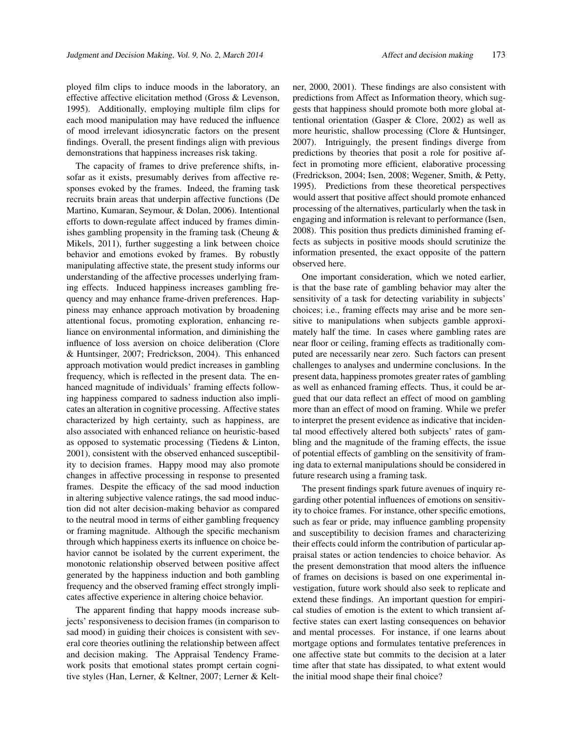ployed film clips to induce moods in the laboratory, an effective affective elicitation method (Gross & Levenson, 1995). Additionally, employing multiple film clips for each mood manipulation may have reduced the influence of mood irrelevant idiosyncratic factors on the present findings. Overall, the present findings align with previous demonstrations that happiness increases risk taking.

The capacity of frames to drive preference shifts, insofar as it exists, presumably derives from affective responses evoked by the frames. Indeed, the framing task recruits brain areas that underpin affective functions (De Martino, Kumaran, Seymour, & Dolan, 2006). Intentional efforts to down-regulate affect induced by frames diminishes gambling propensity in the framing task (Cheung & Mikels, 2011), further suggesting a link between choice behavior and emotions evoked by frames. By robustly manipulating affective state, the present study informs our understanding of the affective processes underlying framing effects. Induced happiness increases gambling frequency and may enhance frame-driven preferences. Happiness may enhance approach motivation by broadening attentional focus, promoting exploration, enhancing reliance on environmental information, and diminishing the influence of loss aversion on choice deliberation (Clore & Huntsinger, 2007; Fredrickson, 2004). This enhanced approach motivation would predict increases in gambling frequency, which is reflected in the present data. The enhanced magnitude of individuals' framing effects following happiness compared to sadness induction also implicates an alteration in cognitive processing. Affective states characterized by high certainty, such as happiness, are also associated with enhanced reliance on heuristic-based as opposed to systematic processing (Tiedens & Linton, 2001), consistent with the observed enhanced susceptibility to decision frames. Happy mood may also promote changes in affective processing in response to presented frames. Despite the efficacy of the sad mood induction in altering subjective valence ratings, the sad mood induction did not alter decision-making behavior as compared to the neutral mood in terms of either gambling frequency or framing magnitude. Although the specific mechanism through which happiness exerts its influence on choice behavior cannot be isolated by the current experiment, the monotonic relationship observed between positive affect generated by the happiness induction and both gambling frequency and the observed framing effect strongly implicates affective experience in altering choice behavior.

The apparent finding that happy moods increase subjects' responsiveness to decision frames (in comparison to sad mood) in guiding their choices is consistent with several core theories outlining the relationship between affect and decision making. The Appraisal Tendency Framework posits that emotional states prompt certain cognitive styles (Han, Lerner, & Keltner, 2007; Lerner & Keltner, 2000, 2001). These findings are also consistent with predictions from Affect as Information theory, which suggests that happiness should promote both more global attentional orientation (Gasper & Clore, 2002) as well as more heuristic, shallow processing (Clore & Huntsinger, 2007). Intriguingly, the present findings diverge from predictions by theories that posit a role for positive affect in promoting more efficient, elaborative processing (Fredrickson, 2004; Isen, 2008; Wegener, Smith, & Petty, 1995). Predictions from these theoretical perspectives would assert that positive affect should promote enhanced processing of the alternatives, particularly when the task in engaging and information is relevant to performance (Isen, 2008). This position thus predicts diminished framing effects as subjects in positive moods should scrutinize the information presented, the exact opposite of the pattern observed here.

One important consideration, which we noted earlier, is that the base rate of gambling behavior may alter the sensitivity of a task for detecting variability in subjects' choices; i.e., framing effects may arise and be more sensitive to manipulations when subjects gamble approximately half the time. In cases where gambling rates are near floor or ceiling, framing effects as traditionally computed are necessarily near zero. Such factors can present challenges to analyses and undermine conclusions. In the present data, happiness promotes greater rates of gambling as well as enhanced framing effects. Thus, it could be argued that our data reflect an effect of mood on gambling more than an effect of mood on framing. While we prefer to interpret the present evidence as indicative that incidental mood effectively altered both subjects' rates of gambling and the magnitude of the framing effects, the issue of potential effects of gambling on the sensitivity of framing data to external manipulations should be considered in future research using a framing task.

The present findings spark future avenues of inquiry regarding other potential influences of emotions on sensitivity to choice frames. For instance, other specific emotions, such as fear or pride, may influence gambling propensity and susceptibility to decision frames and characterizing their effects could inform the contribution of particular appraisal states or action tendencies to choice behavior. As the present demonstration that mood alters the influence of frames on decisions is based on one experimental investigation, future work should also seek to replicate and extend these findings. An important question for empirical studies of emotion is the extent to which transient affective states can exert lasting consequences on behavior and mental processes. For instance, if one learns about mortgage options and formulates tentative preferences in one affective state but commits to the decision at a later time after that state has dissipated, to what extent would the initial mood shape their final choice?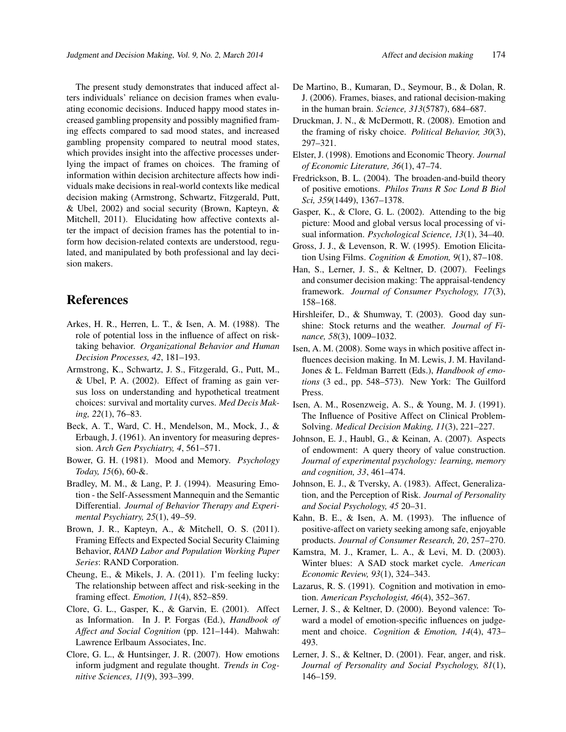The present study demonstrates that induced affect alters individuals' reliance on decision frames when evaluating economic decisions. Induced happy mood states increased gambling propensity and possibly magnified framing effects compared to sad mood states, and increased gambling propensity compared to neutral mood states, which provides insight into the affective processes underlying the impact of frames on choices. The framing of information within decision architecture affects how individuals make decisions in real-world contexts like medical decision making (Armstrong, Schwartz, Fitzgerald, Putt, & Ubel, 2002) and social security (Brown, Kapteyn, & Mitchell, 2011). Elucidating how affective contexts alter the impact of decision frames has the potential to inform how decision-related contexts are understood, regulated, and manipulated by both professional and lay decision makers.

### References

- Arkes, H. R., Herren, L. T., & Isen, A. M. (1988). The role of potential loss in the influence of affect on risktaking behavior. *Organizational Behavior and Human Decision Processes, 42*, 181–193.
- Armstrong, K., Schwartz, J. S., Fitzgerald, G., Putt, M., & Ubel, P. A. (2002). Effect of framing as gain versus loss on understanding and hypothetical treatment choices: survival and mortality curves. *Med Decis Making, 22*(1), 76–83.
- Beck, A. T., Ward, C. H., Mendelson, M., Mock, J., & Erbaugh, J. (1961). An inventory for measuring depression. *Arch Gen Psychiatry, 4*, 561–571.
- Bower, G. H. (1981). Mood and Memory. *Psychology Today, 15*(6), 60-&.
- Bradley, M. M., & Lang, P. J. (1994). Measuring Emotion - the Self-Assessment Mannequin and the Semantic Differential. *Journal of Behavior Therapy and Experimental Psychiatry, 25*(1), 49–59.
- Brown, J. R., Kapteyn, A., & Mitchell, O. S. (2011). Framing Effects and Expected Social Security Claiming Behavior, *RAND Labor and Population Working Paper Series*: RAND Corporation.
- Cheung, E., & Mikels, J. A. (2011). I'm feeling lucky: The relationship between affect and risk-seeking in the framing effect. *Emotion, 11*(4), 852–859.
- Clore, G. L., Gasper, K., & Garvin, E. (2001). Affect as Information. In J. P. Forgas (Ed.), *Handbook of Affect and Social Cognition* (pp. 121–144). Mahwah: Lawrence Erlbaum Associates, Inc.
- Clore, G. L., & Huntsinger, J. R. (2007). How emotions inform judgment and regulate thought. *Trends in Cognitive Sciences, 11*(9), 393–399.
- De Martino, B., Kumaran, D., Seymour, B., & Dolan, R. J. (2006). Frames, biases, and rational decision-making in the human brain. *Science, 313*(5787), 684–687.
- Druckman, J. N., & McDermott, R. (2008). Emotion and the framing of risky choice. *Political Behavior, 30*(3), 297–321.
- Elster, J. (1998). Emotions and Economic Theory. *Journal of Economic Literature, 36*(1), 47–74.
- Fredrickson, B. L. (2004). The broaden-and-build theory of positive emotions. *Philos Trans R Soc Lond B Biol Sci, 359*(1449), 1367–1378.
- Gasper, K., & Clore, G. L. (2002). Attending to the big picture: Mood and global versus local processing of visual information. *Psychological Science, 13*(1), 34–40.
- Gross, J. J., & Levenson, R. W. (1995). Emotion Elicitation Using Films. *Cognition & Emotion, 9*(1), 87–108.
- Han, S., Lerner, J. S., & Keltner, D. (2007). Feelings and consumer decision making: The appraisal-tendency framework. *Journal of Consumer Psychology, 17*(3), 158–168.
- Hirshleifer, D., & Shumway, T. (2003). Good day sunshine: Stock returns and the weather. *Journal of Finance, 58*(3), 1009–1032.
- Isen, A. M. (2008). Some ways in which positive affect influences decision making. In M. Lewis, J. M. Haviland-Jones & L. Feldman Barrett (Eds.), *Handbook of emotions* (3 ed., pp. 548–573). New York: The Guilford Press.
- Isen, A. M., Rosenzweig, A. S., & Young, M. J. (1991). The Influence of Positive Affect on Clinical Problem-Solving. *Medical Decision Making, 11*(3), 221–227.
- Johnson, E. J., Haubl, G., & Keinan, A. (2007). Aspects of endowment: A query theory of value construction. *Journal of experimental psychology: learning, memory and cognition, 33*, 461–474.
- Johnson, E. J., & Tversky, A. (1983). Affect, Generalization, and the Perception of Risk. *Journal of Personality and Social Psychology, 45* 20–31.
- Kahn, B. E., & Isen, A. M. (1993). The influence of positive-affect on variety seeking among safe, enjoyable products. *Journal of Consumer Research, 20*, 257–270.
- Kamstra, M. J., Kramer, L. A., & Levi, M. D. (2003). Winter blues: A SAD stock market cycle. *American Economic Review, 93*(1), 324–343.
- Lazarus, R. S. (1991). Cognition and motivation in emotion. *American Psychologist, 46*(4), 352–367.
- Lerner, J. S., & Keltner, D. (2000). Beyond valence: Toward a model of emotion-specific influences on judgement and choice. *Cognition & Emotion, 14*(4), 473– 493.
- Lerner, J. S., & Keltner, D. (2001). Fear, anger, and risk. *Journal of Personality and Social Psychology, 81*(1), 146–159.